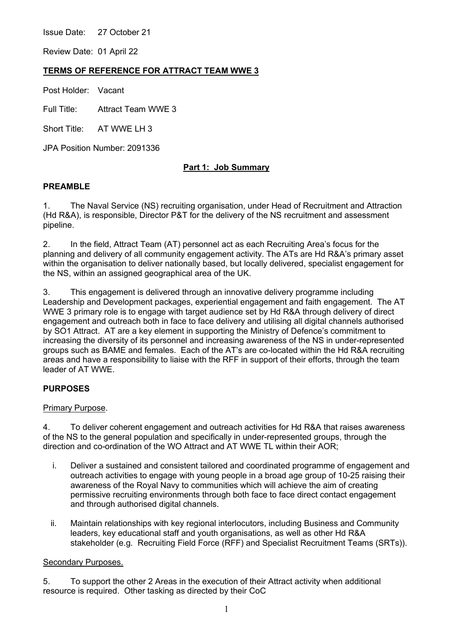Issue Date: 27 October 21

Review Date: 01 April 22

### **TERMS OF REFERENCE FOR ATTRACT TEAM WWE 3**

Post Holder: Vacant

Full Title: Attract Team WWE 3

Short Title: AT WWF I H 3

JPA Position Number: 2091336

# **Part 1: Job Summary**

### **PREAMBLE**

1. The Naval Service (NS) recruiting organisation, under Head of Recruitment and Attraction (Hd R&A), is responsible, Director P&T for the delivery of the NS recruitment and assessment pipeline.

2. In the field, Attract Team (AT) personnel act as each Recruiting Area's focus for the planning and delivery of all community engagement activity. The ATs are Hd R&A's primary asset within the organisation to deliver nationally based, but locally delivered, specialist engagement for the NS, within an assigned geographical area of the UK.

3. This engagement is delivered through an innovative delivery programme including Leadership and Development packages, experiential engagement and faith engagement. The AT WWE 3 primary role is to engage with target audience set by Hd R&A through delivery of direct engagement and outreach both in face to face delivery and utilising all digital channels authorised by SO1 Attract. AT are a key element in supporting the Ministry of Defence's commitment to increasing the diversity of its personnel and increasing awareness of the NS in under-represented groups such as BAME and females. Each of the AT's are co-located within the Hd R&A recruiting areas and have a responsibility to liaise with the RFF in support of their efforts, through the team leader of AT WWE.

### **PURPOSES**

### Primary Purpose.

4. To deliver coherent engagement and outreach activities for Hd R&A that raises awareness of the NS to the general population and specifically in under-represented groups, through the direction and co-ordination of the WO Attract and AT WWE TL within their AOR;

- i. Deliver a sustained and consistent tailored and coordinated programme of engagement and outreach activities to engage with young people in a broad age group of 10-25 raising their awareness of the Royal Navy to communities which will achieve the aim of creating permissive recruiting environments through both face to face direct contact engagement and through authorised digital channels.
- ii. Maintain relationships with key regional interlocutors, including Business and Community leaders, key educational staff and youth organisations, as well as other Hd R&A stakeholder (e.g. Recruiting Field Force (RFF) and Specialist Recruitment Teams (SRTs)).

### Secondary Purposes.

5. To support the other 2 Areas in the execution of their Attract activity when additional resource is required. Other tasking as directed by their CoC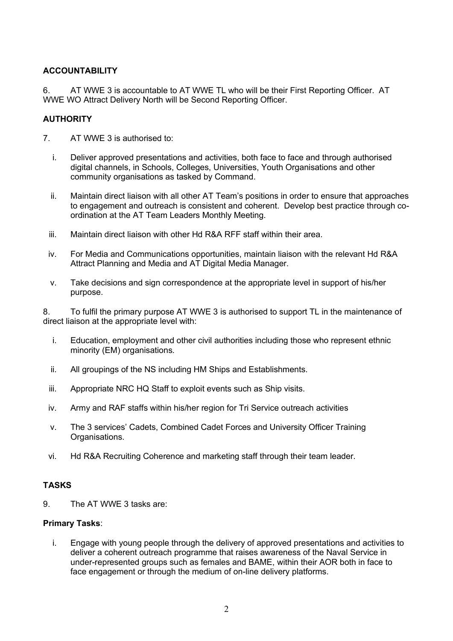# **ACCOUNTABILITY**

6. AT WWE 3 is accountable to AT WWE TL who will be their First Reporting Officer. AT WWE WO Attract Delivery North will be Second Reporting Officer.

## **AUTHORITY**

- 7. AT WWE 3 is authorised to:
	- i. Deliver approved presentations and activities, both face to face and through authorised digital channels, in Schools, Colleges, Universities, Youth Organisations and other community organisations as tasked by Command.
	- ii. Maintain direct liaison with all other AT Team's positions in order to ensure that approaches to engagement and outreach is consistent and coherent. Develop best practice through coordination at the AT Team Leaders Monthly Meeting.
	- iii. Maintain direct liaison with other Hd R&A RFF staff within their area.
	- iv. For Media and Communications opportunities, maintain liaison with the relevant Hd R&A Attract Planning and Media and AT Digital Media Manager.
	- v. Take decisions and sign correspondence at the appropriate level in support of his/her purpose.

8. To fulfil the primary purpose AT WWE 3 is authorised to support TL in the maintenance of direct liaison at the appropriate level with:

- i. Education, employment and other civil authorities including those who represent ethnic minority (EM) organisations.
- ii. All groupings of the NS including HM Ships and Establishments.
- iii. Appropriate NRC HQ Staff to exploit events such as Ship visits.
- iv. Army and RAF staffs within his/her region for Tri Service outreach activities
- v. The 3 services' Cadets, Combined Cadet Forces and University Officer Training Organisations.
- vi. Hd R&A Recruiting Coherence and marketing staff through their team leader.

# **TASKS**

9. The AT WWE 3 tasks are:

# **Primary Tasks**:

i. Engage with young people through the delivery of approved presentations and activities to deliver a coherent outreach programme that raises awareness of the Naval Service in under-represented groups such as females and BAME, within their AOR both in face to face engagement or through the medium of on-line delivery platforms.